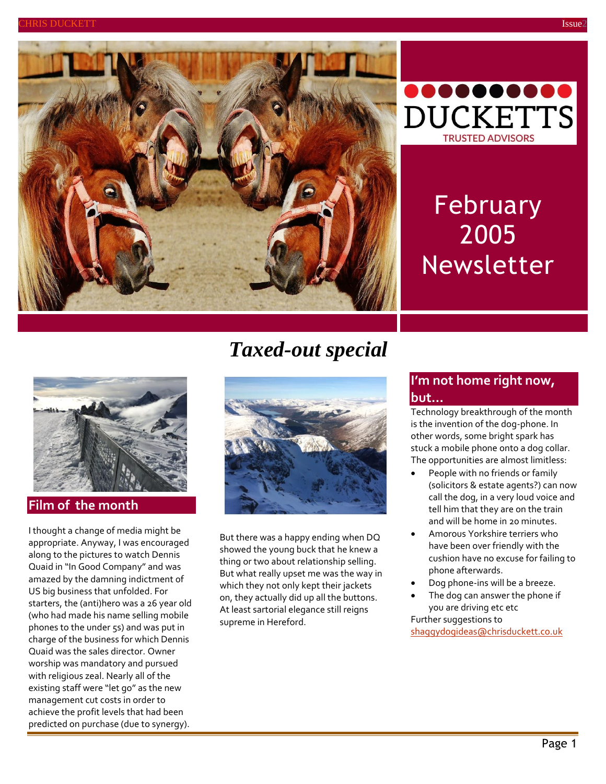



# February 2005 Newsletter



**Film of the month**

I thought a change of media might be appropriate. Anyway, I was encouraged along to the pictures to watch Dennis Quaid in "In Good Company" and was amazed by the damning indictment of US big business that unfolded. For starters, the (anti)hero was a 26 year old (who had made his name selling mobile phones to the under 5s) and was put in charge of the business for which Dennis Quaid was the sales director. Owner worship was mandatory and pursued with religious zeal. Nearly all of the existing staff were "let go" as the new management cut costs in order to achieve the profit levels that had been predicted on purchase (due to synergy).

# *Taxed-out special*



But there was a happy ending when DQ showed the young buck that he knew a thing or two about relationship selling. But what really upset me was the way in which they not only kept their jackets on, they actually did up all the buttons. At least sartorial elegance still reigns supreme in Hereford.

# **I'm not home right now, but…**

Technology breakthrough of the month is the invention of the dog-phone. In other words, some bright spark has stuck a mobile phone onto a dog collar. The opportunities are almost limitless:

- People with no friends or family (solicitors & estate agents?) can now call the dog, in a very loud voice and tell him that they are on the train and will be home in 20 minutes.
- Amorous Yorkshire terriers who have been over friendly with the cushion have no excuse for failing to phone afterwards.
- Dog phone-ins will be a breeze.
- The dog can answer the phone if you are driving etc etc Further suggestions to

[shaggydogideas@chrisduckett.co.uk](mailto:shaggydogideas@chrisduckett.co.uk)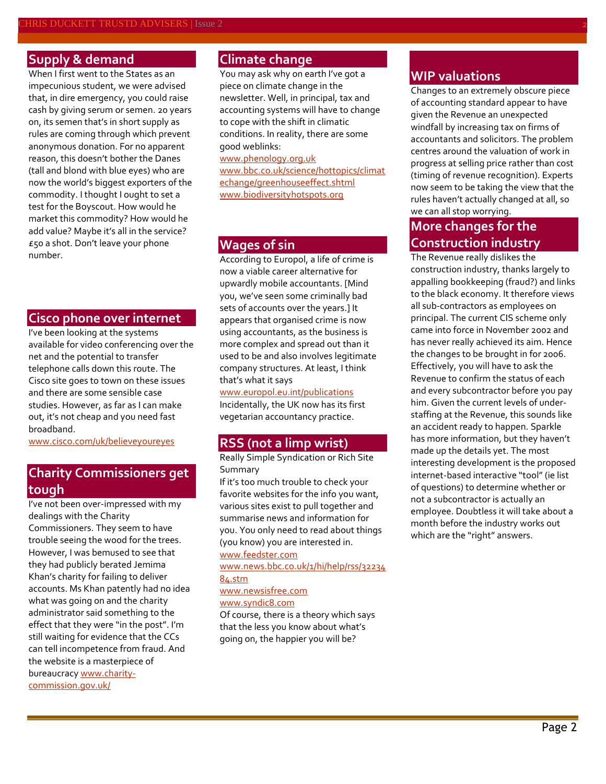## **Supply & demand**

When I first went to the States as an impecunious student, we were advised that, in dire emergency, you could raise cash by giving serum or semen. 20 years on, its semen that's in short supply as rules are coming through which prevent anonymous donation. For no apparent reason, this doesn't bother the Danes (tall and blond with blue eyes) who are now the world's biggest exporters of the commodity. I thought I ought to set a test for the Boyscout. How would he market this commodity? How would he add value? Maybe it's all in the service? £50 a shot. Don't leave your phone number.

### **Cisco phone over internet**

I've been looking at the systems available for video conferencing over the net and the potential to transfer telephone calls down this route. The Cisco site goes to town on these issues and there are some sensible case studies. However, as far as I can make out, it's not cheap and you need fast broadband.

[www.cisco.com/uk/believeyoureyes](http://www.cisco.com/uk/believeyoureyes)

# **Charity Commissioners get tough**

I've not been over-impressed with my dealings with the Charity Commissioners. They seem to have trouble seeing the wood for the trees. However, I was bemused to see that they had publicly berated Jemima Khan's charity for failing to deliver accounts. Ms Khan patently had no idea what was going on and the charity administrator said something to the effect that they were "in the post". I'm still waiting for evidence that the CCs can tell incompetence from fraud. And the website is a masterpiece of bureaucrac[y www.charity](http://www.charity-commission.gov.uk/)[commission.gov.uk/](http://www.charity-commission.gov.uk/)

## **Climate change**

You may ask why on earth I've got a piece on climate change in the newsletter. Well, in principal, tax and accounting systems will have to change to cope with the shift in climatic conditions. In reality, there are some good weblinks:

[www.phenology.org.uk](http://www.phenology.org.uk/) [www.bbc.co.uk/science/hottopics/climat](http://www.bbc.co.uk/science/hottopics/climatechange/greenhouseeffect.shtml) [echange/greenhouseeffect.shtml](http://www.bbc.co.uk/science/hottopics/climatechange/greenhouseeffect.shtml) [www.biodiversityhotspots.org](http://www.biodiversityhotspots.org/)

# **Wages of sin**

According to Europol, a life of crime is now a viable career alternative for upwardly mobile accountants. [Mind you, we've seen some criminally bad sets of accounts over the years.] It appears that organised crime is now using accountants, as the business is more complex and spread out than it used to be and also involves legitimate company structures. At least, I think that's what it says

[www.europol.eu.int/publications](http://www.europol.eu.int/publications)

Incidentally, the UK now has its first vegetarian accountancy practice.

### **RSS (not a limp wrist)**

Really Simple Syndication or Rich Site Summary

If it's too much trouble to check your favorite websites for the info you want, various sites exist to pull together and summarise news and information for you. You only need to read about things (you know) you are interested in.

[www.feedster.com](http://www.feedster.com/) [www.news.bbc.co.uk/1/hi/help/rss/32234](http://www.news.bbc.co.uk/1/hi/help/rss/3223484.stm)

#### [84.stm](http://www.news.bbc.co.uk/1/hi/help/rss/3223484.stm)

[www.newsisfree.com](http://www.newsisfree.com/) [www.syndic8.com](http://www.syndic8.com/)

Of course, there is a theory which says that the less you know about what's going on, the happier you will be?

#### **WIP valuations**

Changes to an extremely obscure piece of accounting standard appear to have given the Revenue an unexpected windfall by increasing tax on firms of accountants and solicitors. The problem centres around the valuation of work in progress at selling price rather than cost (timing of revenue recognition). Experts now seem to be taking the view that the rules haven't actually changed at all, so we can all stop worrying.

# **More changes for the Construction industry**

The Revenue really dislikes the construction industry, thanks largely to appalling bookkeeping (fraud?) and links to the black economy. It therefore views all sub-contractors as employees on principal. The current CIS scheme only came into force in November 2002 and has never really achieved its aim. Hence the changes to be brought in for 2006. Effectively, you will have to ask the Revenue to confirm the status of each and every subcontractor before you pay him. Given the current levels of understaffing at the Revenue, this sounds like an accident ready to happen. Sparkle has more information, but they haven't made up the details yet. The most interesting development is the proposed internet-based interactive "tool" (ie list of questions) to determine whether or not a subcontractor is actually an employee. Doubtless it will take about a month before the industry works out which are the "right" answers.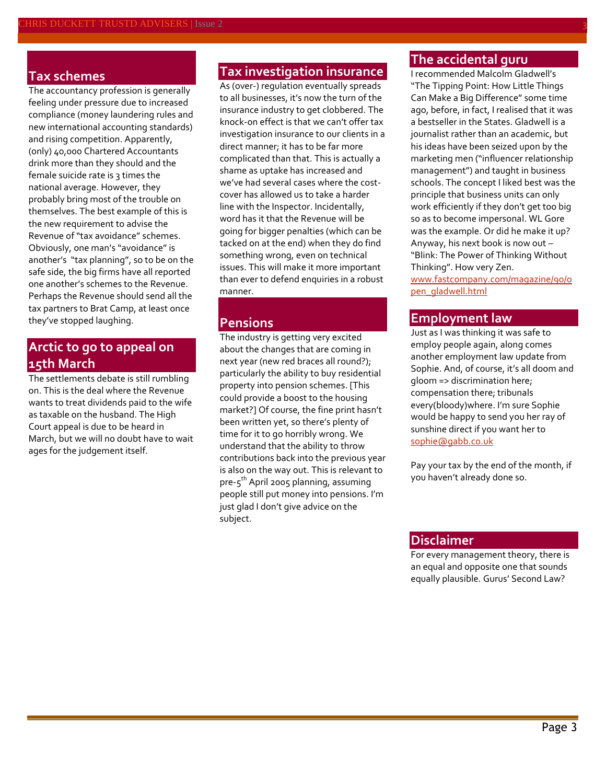#### **Tax schemes**

The accountancy profession is generally feeling under pressure due to increased compliance (money laundering rules and new international accounting standards) and rising competition. Apparently, (only) 40,000 Chartered Accountants drink more than they should and the female suicide rate is 3 times the national average. However, they probably bring most of the trouble on themselves. The best example of this is the new requirement to advise the Revenue of "tax avoidance" schemes. Obviously, one man's "avoidance" is another's "tax planning", so to be on the safe side, the big firms have all reported one another's schemes to the Revenue. Perhaps the Revenue should send all the tax partners to Brat Camp, at least once they've stopped laughing.

# **Arctic to go to appeal on 15th March**

The settlements debate is still rumbling on. This is the deal where the Revenue wants to treat dividends paid to the wife as taxable on the husband. The High Court appeal is due to be heard in March, but we will no doubt have to wait ages for the judgement itself.

#### **Tax investigation insurance**

As (over-) regulation eventually spreads to all businesses, it's now the turn of the insurance industry to get clobbered. The knock-on effect is that we can't offer tax investigation insurance to our clients in a direct manner; it has to be far more complicated than that. This is actually a shame as uptake has increased and we've had several cases where the costcover has allowed us to take a harder line with the Inspector. Incidentally, word has it that the Revenue will be going for bigger penalties (which can be tacked on at the end) when they do find something wrong, even on technical issues. This will make it more important than ever to defend enquiries in a robust manner.

# **Pensions**

The industry is getting very excited about the changes that are coming in next year (new red braces all round?); particularly the ability to buy residential property into pension schemes. [This could provide a boost to the housing market?] Of course, the fine print hasn't been written yet, so there's plenty of time for it to go horribly wrong. We understand that the ability to throw contributions back into the previous year is also on the way out. This is relevant to pre-5<sup>th</sup> April 2005 planning, assuming people still put money into pensions. I'm just glad I don't give advice on the subject.

# **The accidental guru**

I recommended Malcolm Gladwell's "The Tipping Point: How Little Things Can Make a Big Difference" some time ago, before, in fact, I realised that it was a bestseller in the States. Gladwell is a journalist rather than an academic, but his ideas have been seized upon by the marketing men ("influencer relationship management") and taught in business schools. The concept I liked best was the principle that business units can only work efficiently if they don't get too big so as to become impersonal. WL Gore was the example. Or did he make it up? Anyway, his next book is now out – "Blink: The Power of Thinking Without Thinking". How very Zen.

[www.fastcompany.com/magazine/90/o](http://www.fastcompany.com/magazine/90/open_gladwell.html) [pen\\_gladwell.html](http://www.fastcompany.com/magazine/90/open_gladwell.html)

#### **Employment law**

Just as I was thinking it was safe to employ people again, along comes another employment law update from Sophie. And, of course, it's all doom and gloom => discrimination here; compensation there; tribunals every(bloody)where. I'm sure Sophie would be happy to send you her ray of sunshine direct if you want her to [sophie@gabb.co.uk](mailto:sophie@gabb.co.uk)

Pay your tax by the end of the month, if you haven't already done so.

#### **Disclaimer**

For every management theory, there is an equal and opposite one that sounds equally plausible. Gurus' Second Law?